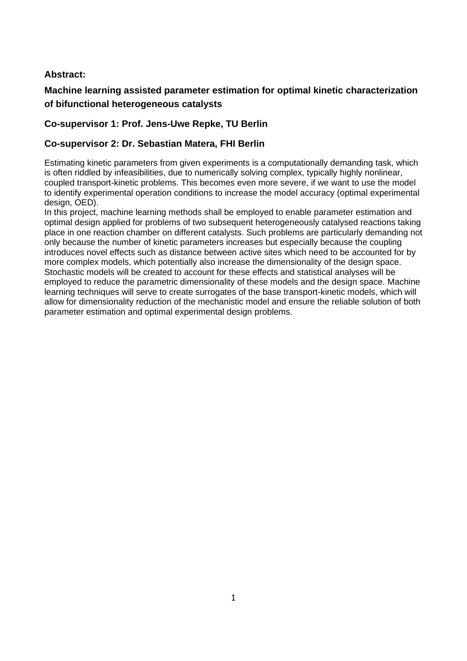# **Abstract:**

# **Machine learning assisted parameter estimation for optimal kinetic characterization of bifunctional heterogeneous catalysts**

# **Co-supervisor 1: Prof. Jens-Uwe Repke, TU Berlin**

### **Co-supervisor 2: Dr. Sebastian Matera, FHI Berlin**

Estimating kinetic parameters from given experiments is a computationally demanding task, which is often riddled by infeasibilities, due to numerically solving complex, typically highly nonlinear, coupled transport-kinetic problems. This becomes even more severe, if we want to use the model to identify experimental operation conditions to increase the model accuracy (optimal experimental design, OED).

In this project, machine learning methods shall be employed to enable parameter estimation and optimal design applied for problems of two subsequent heterogeneously catalysed reactions taking place in one reaction chamber on different catalysts. Such problems are particularly demanding not only because the number of kinetic parameters increases but especially because the coupling introduces novel effects such as distance between active sites which need to be accounted for by more complex models, which potentially also increase the dimensionality of the design space. Stochastic models will be created to account for these effects and statistical analyses will be employed to reduce the parametric dimensionality of these models and the design space. Machine learning techniques will serve to create surrogates of the base transport-kinetic models, which will allow for dimensionality reduction of the mechanistic model and ensure the reliable solution of both parameter estimation and optimal experimental design problems.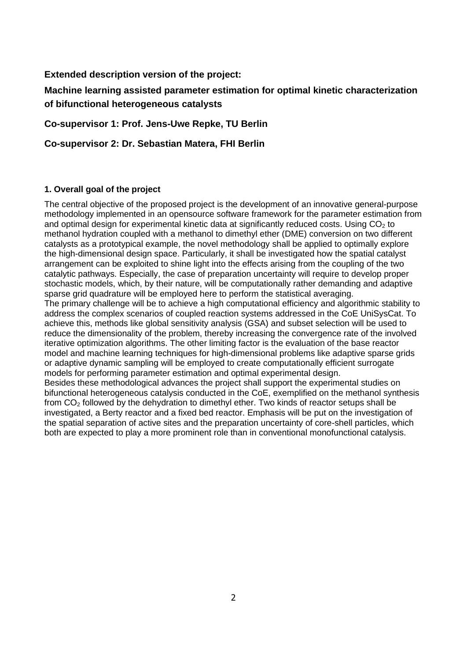**Extended description version of the project:** 

**Machine learning assisted parameter estimation for optimal kinetic characterization of bifunctional heterogeneous catalysts**

**Co-supervisor 1: Prof. Jens-Uwe Repke, TU Berlin**

**Co-supervisor 2: Dr. Sebastian Matera, FHI Berlin**

### **1. Overall goal of the project**

The central objective of the proposed project is the development of an innovative general-purpose methodology implemented in an opensource software framework for the parameter estimation from and optimal design for experimental kinetic data at significantly reduced costs. Using  $CO<sub>2</sub>$  to methanol hydration coupled with a methanol to dimethyl ether (DME) conversion on two different catalysts as a prototypical example, the novel methodology shall be applied to optimally explore the high-dimensional design space. Particularly, it shall be investigated how the spatial catalyst arrangement can be exploited to shine light into the effects arising from the coupling of the two catalytic pathways. Especially, the case of preparation uncertainty will require to develop proper stochastic models, which, by their nature, will be computationally rather demanding and adaptive sparse grid quadrature will be employed here to perform the statistical averaging. The primary challenge will be to achieve a high computational efficiency and algorithmic stability to address the complex scenarios of coupled reaction systems addressed in the CoE UniSysCat. To achieve this, methods like global sensitivity analysis (GSA) and subset selection will be used to reduce the dimensionality of the problem, thereby increasing the convergence rate of the involved iterative optimization algorithms. The other limiting factor is the evaluation of the base reactor model and machine learning techniques for high-dimensional problems like adaptive sparse grids or adaptive dynamic sampling will be employed to create computationally efficient surrogate models for performing parameter estimation and optimal experimental design. Besides these methodological advances the project shall support the experimental studies on bifunctional heterogeneous catalysis conducted in the CoE, exemplified on the methanol synthesis from  $CO<sub>2</sub>$  followed by the dehydration to dimethyl ether. Two kinds of reactor setups shall be investigated, a Berty reactor and a fixed bed reactor. Emphasis will be put on the investigation of the spatial separation of active sites and the preparation uncertainty of core-shell particles, which

both are expected to play a more prominent role than in conventional monofunctional catalysis.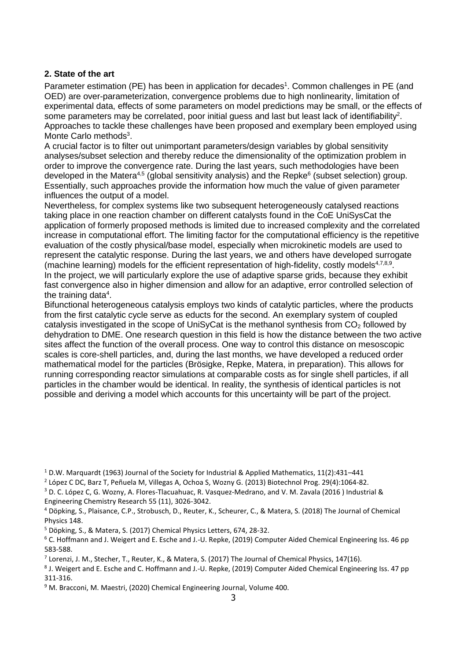### **2. State of the art**

Parameter estimation (PE) has been in application for decades<sup>1</sup>. Common challenges in PE (and OED) are over-parameterization, convergence problems due to high nonlinearity, limitation of experimental data, effects of some parameters on model predictions may be small, or the effects of some parameters may be correlated, poor initial guess and last but least lack of identifiability<sup>2</sup>. Approaches to tackle these challenges have been proposed and exemplary been employed using Monte Carlo methods<sup>3</sup>.

<span id="page-2-0"></span>A crucial factor is to filter out unimportant parameters/design variables by global sensitivity analyses/subset selection and thereby reduce the dimensionality of the optimization problem in order to improve the convergence rate. During the last years, such methodologies have been developed in the Matera<sup>4,5</sup> (global sensitivity analysis) and the Repke<sup>6</sup> (subset selection) group. Essentially, such approaches provide the information how much the value of given parameter influences the output of a model.

Nevertheless, for complex systems like two subsequent heterogeneously catalysed reactions taking place in one reaction chamber on different catalysts found in the CoE UniSysCat the application of formerly proposed methods is limited due to increased complexity and the correlated increase in computational effort. The limiting factor for the computational efficiency is the repetitive evaluation of the costly physical/base model, especially when microkinetic models are used to represent the catalytic response. During the last years, we and others have developed surrogate (machine learning) models for the efficient representation of high-fidelity, costly models<sup>[4,7](#page-2-0),8,9</sup>. In the project, we will particularly explore the use of adaptive sparse grids, because they exhibit fast convergence also in higher dimension and allow for an adaptive, error controlled selection of the tr[a](#page-2-0)ining data<sup>4</sup>.

Bifunctional heterogeneous catalysis employs two kinds of catalytic particles, where the products from the first catalytic cycle serve as educts for the second. An exemplary system of coupled catalysis investigated in the scope of UniSyCat is the methanol synthesis from CO<sup>2</sup> followed by dehydration to DME. One research question in this field is how the distance between the two active sites affect the function of the overall process. One way to control this distance on mesoscopic scales is core-shell particles, and, during the last months, we have developed a reduced order mathematical model for the particles (Brösigke, Repke, Matera, in preparation). This allows for running corresponding reactor simulations at comparable costs as for single shell particles, if all particles in the chamber would be identical. In reality, the synthesis of identical particles is not possible and deriving a model which accounts for this uncertainty will be part of the project.

<sup>1</sup> D.W. Marquardt (1963) Journal of the Society for Industrial & Applied Mathematics, 11(2):431–441

2 López C DC, Barz T, Peñuela M, Villegas A, Ochoa S, Wozny G. (2013) Biotechnol Prog. 29(4):1064-82.

<sup>3</sup> D. C. López C, G. Wozny, A. Flores-Tlacuahuac, R. Vasquez-Medrano, and V. M. Zavala (2016 ) Industrial & Engineering Chemistry Research 55 (11), 3026-3042.

<sup>5</sup> Döpking, S., & Matera, S. (2017) Chemical Physics Letters, 674, 28-32.

<sup>4</sup> Döpking, S., Plaisance, C.P., Strobusch, D., Reuter, K., Scheurer, C., & Matera, S. (2018) The Journal of Chemical Physics 148.

<sup>6</sup> C. Hoffmann and J. Weigert and E. Esche and J.-U. Repke, (2019) Computer Aided Chemical Engineering Iss. 46 pp 583-588.

<sup>&</sup>lt;sup>7</sup> Lorenzi, J. M., Stecher, T., Reuter, K., & Matera, S. (2017) The Journal of Chemical Physics, 147(16).

<sup>8</sup> J. Weigert and E. Esche and C. Hoffmann and J.-U. Repke, (2019) Computer Aided Chemical Engineering Iss. 47 pp 311-316.

<sup>&</sup>lt;sup>9</sup> M. Bracconi, M. Maestri, (2020) Chemical Engineering Journal, Volume 400.